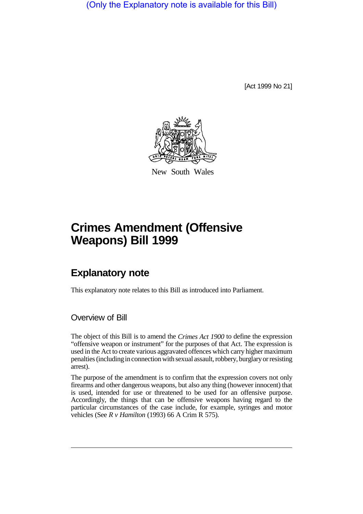(Only the Explanatory note is available for this Bill)

[Act 1999 No 21]



New South Wales

# **Crimes Amendment (Offensive Weapons) Bill 1999**

## **Explanatory note**

This explanatory note relates to this Bill as introduced into Parliament.

#### Overview of Bill

The object of this Bill is to amend the *Crimes Act 1900* to define the expression "offensive weapon or instrument" for the purposes of that Act. The expression is used in the Act to create various aggravated offences which carry higher maximum penalties (including in connection with sexual assault, robbery, burglary or resisting arrest).

The purpose of the amendment is to confirm that the expression covers not only firearms and other dangerous weapons, but also any thing (however innocent) that is used, intended for use or threatened to be used for an offensive purpose. Accordingly, the things that can be offensive weapons having regard to the particular circumstances of the case include, for example, syringes and motor vehicles (See *R v Hamilton* (1993) 66 A Crim R 575).